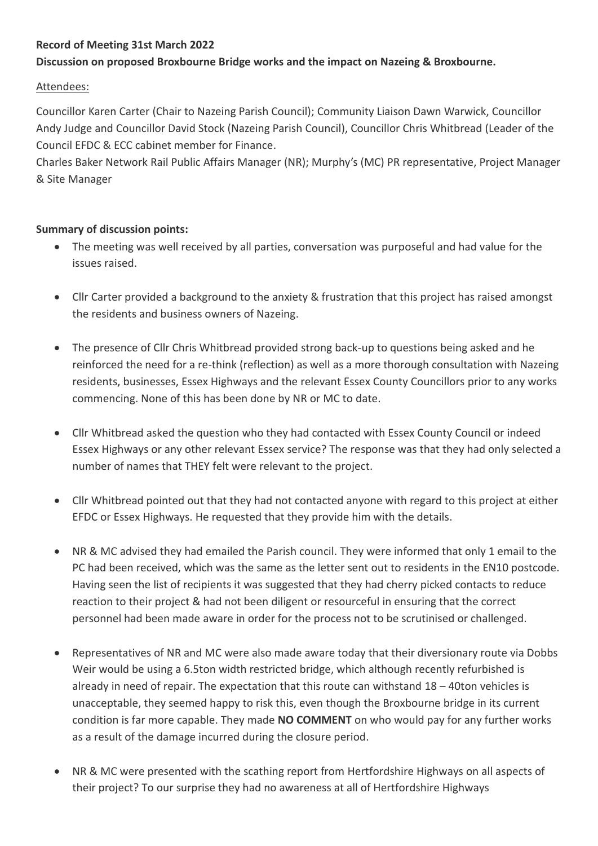### **Record of Meeting 31st March 2022**

## **Discussion on proposed Broxbourne Bridge works and the impact on Nazeing & Broxbourne.**

#### Attendees:

Councillor Karen Carter (Chair to Nazeing Parish Council); Community Liaison Dawn Warwick, Councillor Andy Judge and Councillor David Stock (Nazeing Parish Council), Councillor Chris Whitbread (Leader of the Council EFDC & ECC cabinet member for Finance.

Charles Baker Network Rail Public Affairs Manager (NR); Murphy's (MC) PR representative, Project Manager & Site Manager

#### **Summary of discussion points:**

- The meeting was well received by all parties, conversation was purposeful and had value for the issues raised.
- Cllr Carter provided a background to the anxiety & frustration that this project has raised amongst the residents and business owners of Nazeing.
- The presence of Cllr Chris Whitbread provided strong back-up to questions being asked and he reinforced the need for a re-think (reflection) as well as a more thorough consultation with Nazeing residents, businesses, Essex Highways and the relevant Essex County Councillors prior to any works commencing. None of this has been done by NR or MC to date.
- Cllr Whitbread asked the question who they had contacted with Essex County Council or indeed Essex Highways or any other relevant Essex service? The response was that they had only selected a number of names that THEY felt were relevant to the project.
- Cllr Whitbread pointed out that they had not contacted anyone with regard to this project at either EFDC or Essex Highways. He requested that they provide him with the details.
- NR & MC advised they had emailed the Parish council. They were informed that only 1 email to the PC had been received, which was the same as the letter sent out to residents in the EN10 postcode. Having seen the list of recipients it was suggested that they had cherry picked contacts to reduce reaction to their project & had not been diligent or resourceful in ensuring that the correct personnel had been made aware in order for the process not to be scrutinised or challenged.
- Representatives of NR and MC were also made aware today that their diversionary route via Dobbs Weir would be using a 6.5ton width restricted bridge, which although recently refurbished is already in need of repair. The expectation that this route can withstand 18 – 40ton vehicles is unacceptable, they seemed happy to risk this, even though the Broxbourne bridge in its current condition is far more capable. They made **NO COMMENT** on who would pay for any further works as a result of the damage incurred during the closure period.
- NR & MC were presented with the scathing report from Hertfordshire Highways on all aspects of their project? To our surprise they had no awareness at all of Hertfordshire Highways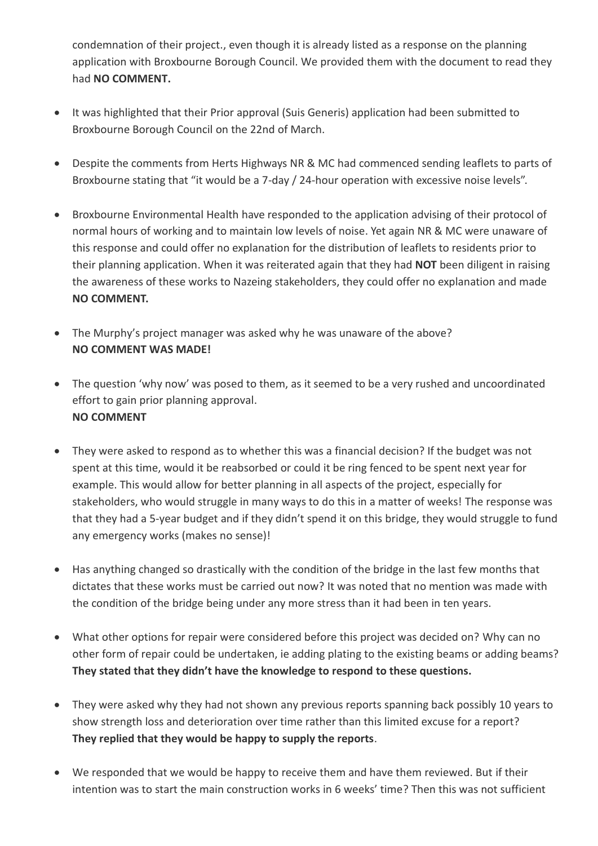condemnation of their project., even though it is already listed as a response on the planning application with Broxbourne Borough Council. We provided them with the document to read they had **NO COMMENT.**

- It was highlighted that their Prior approval (Suis Generis) application had been submitted to Broxbourne Borough Council on the 22nd of March.
- Despite the comments from Herts Highways NR & MC had commenced sending leaflets to parts of Broxbourne stating that "it would be a 7-day / 24-hour operation with excessive noise levels".
- Broxbourne Environmental Health have responded to the application advising of their protocol of normal hours of working and to maintain low levels of noise. Yet again NR & MC were unaware of this response and could offer no explanation for the distribution of leaflets to residents prior to their planning application. When it was reiterated again that they had **NOT** been diligent in raising the awareness of these works to Nazeing stakeholders, they could offer no explanation and made **NO COMMENT.**
- The Murphy's project manager was asked why he was unaware of the above? **NO COMMENT WAS MADE!**
- The question 'why now' was posed to them, as it seemed to be a very rushed and uncoordinated effort to gain prior planning approval. **NO COMMENT**
- They were asked to respond as to whether this was a financial decision? If the budget was not spent at this time, would it be reabsorbed or could it be ring fenced to be spent next year for example. This would allow for better planning in all aspects of the project, especially for stakeholders, who would struggle in many ways to do this in a matter of weeks! The response was that they had a 5-year budget and if they didn't spend it on this bridge, they would struggle to fund any emergency works (makes no sense)!
- Has anything changed so drastically with the condition of the bridge in the last few months that dictates that these works must be carried out now? It was noted that no mention was made with the condition of the bridge being under any more stress than it had been in ten years.
- What other options for repair were considered before this project was decided on? Why can no other form of repair could be undertaken, ie adding plating to the existing beams or adding beams? **They stated that they didn't have the knowledge to respond to these questions.**
- They were asked why they had not shown any previous reports spanning back possibly 10 years to show strength loss and deterioration over time rather than this limited excuse for a report? **They replied that they would be happy to supply the reports**.
- We responded that we would be happy to receive them and have them reviewed. But if their intention was to start the main construction works in 6 weeks' time? Then this was not sufficient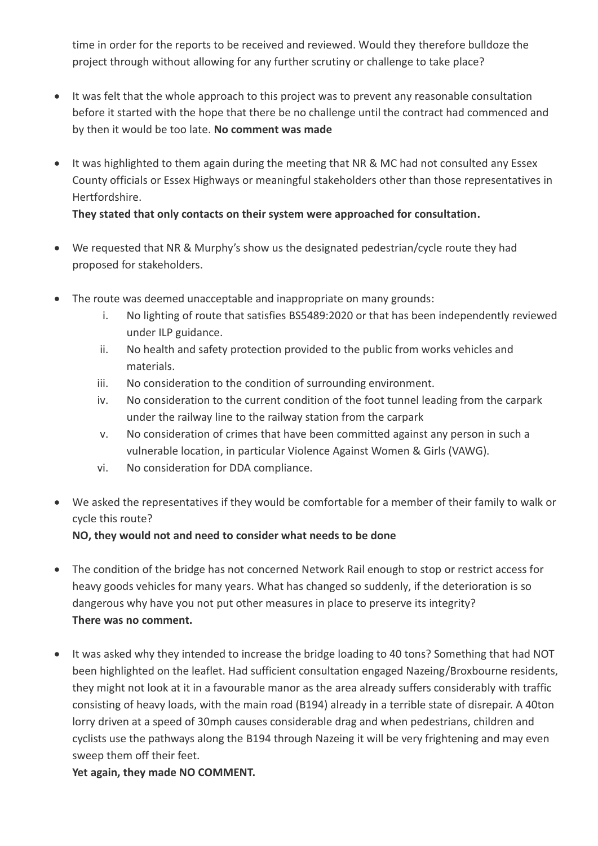time in order for the reports to be received and reviewed. Would they therefore bulldoze the project through without allowing for any further scrutiny or challenge to take place?

- It was felt that the whole approach to this project was to prevent any reasonable consultation before it started with the hope that there be no challenge until the contract had commenced and by then it would be too late. **No comment was made**
- It was highlighted to them again during the meeting that NR & MC had not consulted any Essex County officials or Essex Highways or meaningful stakeholders other than those representatives in Hertfordshire.

**They stated that only contacts on their system were approached for consultation.**

- We requested that NR & Murphy's show us the designated pedestrian/cycle route they had proposed for stakeholders.
- The route was deemed unacceptable and inappropriate on many grounds:
	- i. No lighting of route that satisfies BS5489:2020 or that has been independently reviewed under ILP guidance.
	- ii. No health and safety protection provided to the public from works vehicles and materials.
	- iii. No consideration to the condition of surrounding environment.
	- iv. No consideration to the current condition of the foot tunnel leading from the carpark under the railway line to the railway station from the carpark
	- v. No consideration of crimes that have been committed against any person in such a vulnerable location, in particular Violence Against Women & Girls (VAWG).
	- vi. No consideration for DDA compliance.
- We asked the representatives if they would be comfortable for a member of their family to walk or cycle this route?

# **NO, they would not and need to consider what needs to be done**

- The condition of the bridge has not concerned Network Rail enough to stop or restrict access for heavy goods vehicles for many years. What has changed so suddenly, if the deterioration is so dangerous why have you not put other measures in place to preserve its integrity? **There was no comment.**
- It was asked why they intended to increase the bridge loading to 40 tons? Something that had NOT been highlighted on the leaflet. Had sufficient consultation engaged Nazeing/Broxbourne residents, they might not look at it in a favourable manor as the area already suffers considerably with traffic consisting of heavy loads, with the main road (B194) already in a terrible state of disrepair. A 40ton lorry driven at a speed of 30mph causes considerable drag and when pedestrians, children and cyclists use the pathways along the B194 through Nazeing it will be very frightening and may even sweep them off their feet.

**Yet again, they made NO COMMENT.**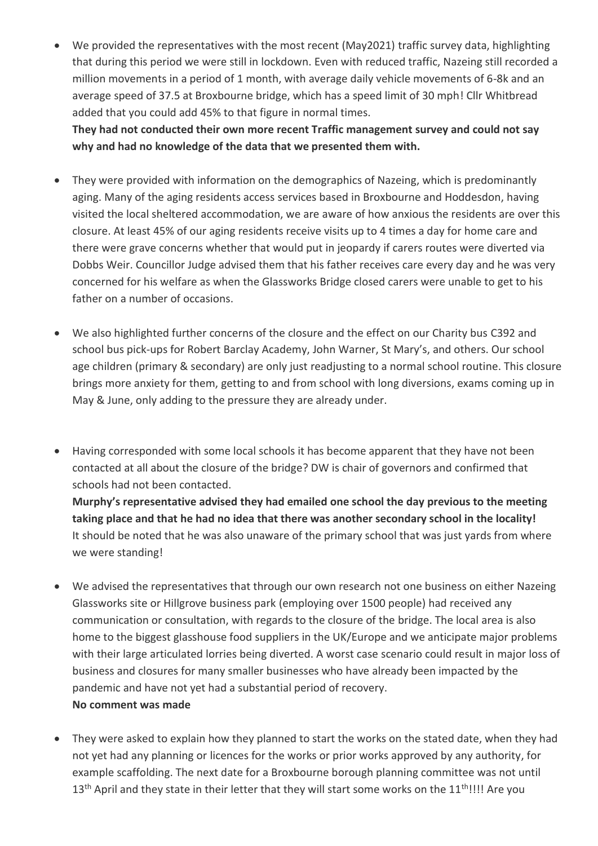• We provided the representatives with the most recent (May2021) traffic survey data, highlighting that during this period we were still in lockdown. Even with reduced traffic, Nazeing still recorded a million movements in a period of 1 month, with average daily vehicle movements of 6-8k and an average speed of 37.5 at Broxbourne bridge, which has a speed limit of 30 mph! Cllr Whitbread added that you could add 45% to that figure in normal times.

**They had not conducted their own more recent Traffic management survey and could not say why and had no knowledge of the data that we presented them with.**

- They were provided with information on the demographics of Nazeing, which is predominantly aging. Many of the aging residents access services based in Broxbourne and Hoddesdon, having visited the local sheltered accommodation, we are aware of how anxious the residents are over this closure. At least 45% of our aging residents receive visits up to 4 times a day for home care and there were grave concerns whether that would put in jeopardy if carers routes were diverted via Dobbs Weir. Councillor Judge advised them that his father receives care every day and he was very concerned for his welfare as when the Glassworks Bridge closed carers were unable to get to his father on a number of occasions.
- We also highlighted further concerns of the closure and the effect on our Charity bus C392 and school bus pick-ups for Robert Barclay Academy, John Warner, St Mary's, and others. Our school age children (primary & secondary) are only just readjusting to a normal school routine. This closure brings more anxiety for them, getting to and from school with long diversions, exams coming up in May & June, only adding to the pressure they are already under.
- Having corresponded with some local schools it has become apparent that they have not been contacted at all about the closure of the bridge? DW is chair of governors and confirmed that schools had not been contacted. **Murphy's representative advised they had emailed one school the day previous to the meeting**

**taking place and that he had no idea that there was another secondary school in the locality!** It should be noted that he was also unaware of the primary school that was just yards from where we were standing!

- We advised the representatives that through our own research not one business on either Nazeing Glassworks site or Hillgrove business park (employing over 1500 people) had received any communication or consultation, with regards to the closure of the bridge. The local area is also home to the biggest glasshouse food suppliers in the UK/Europe and we anticipate major problems with their large articulated lorries being diverted. A worst case scenario could result in major loss of business and closures for many smaller businesses who have already been impacted by the pandemic and have not yet had a substantial period of recovery. **No comment was made**
- They were asked to explain how they planned to start the works on the stated date, when they had not yet had any planning or licences for the works or prior works approved by any authority, for example scaffolding. The next date for a Broxbourne borough planning committee was not until 13<sup>th</sup> April and they state in their letter that they will start some works on the 11<sup>th</sup>!!!! Are you